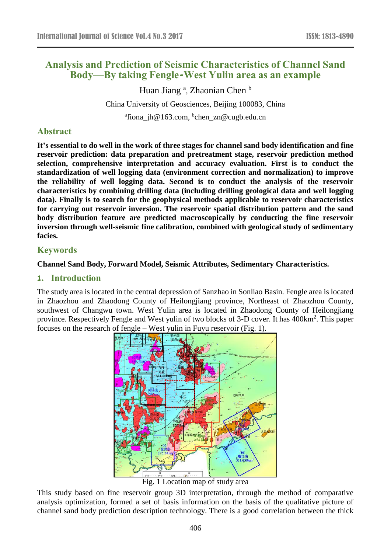# **Analysis and Prediction of Seismic Characteristics of Channel Sand Body—By taking Fengle-West Yulin area as an example**

Huan Jiang<sup>a</sup>, Zhaonian Chen b China University of Geosciences, Beijing 100083, China <sup>a</sup>fiona\_jh@163.com, <sup>b</sup>chen\_zn@cugb.edu.cn

## **Abstract**

**It's essential to do well in the work of three stages for channel sand body identification and fine reservoir prediction: data preparation and pretreatment stage, reservoir prediction method selection, comprehensive interpretation and accuracy evaluation. First is to conduct the standardization of well logging data (environment correction and normalization) to improve the reliability of well logging data. Second is to conduct the analysis of the reservoir characteristics by combining drilling data (including drilling geological data and well logging data). Finally is to search for the geophysical methods applicable to reservoir characteristics for carrying out reservoir inversion. The reservoir spatial distribution pattern and the sand body distribution feature are predicted macroscopically by conducting the fine reservoir inversion through well-seismic fine calibration, combined with geological study of sedimentary facies.**

### **Keywords**

#### **Channel Sand Body, Forward Model, Seismic Attributes, Sedimentary Characteristics.**

#### **1. Introduction**

The study area is located in the central depression of Sanzhao in Sonliao Basin. Fengle area is located in Zhaozhou and Zhaodong County of Heilongjiang province, Northeast of Zhaozhou County, southwest of Changwu town. West Yulin area is located in Zhaodong County of Heilongjiang province. Respectively Fengle and West yulin of two blocks of 3-D cover. It has 400km<sup>2</sup>. This paper focuses on the research of fengle – West yulin in Fuyu reservoir (Fig. 1).



Fig. 1 Location map of study area

This study based on fine reservoir group 3D interpretation, through the method of comparative analysis optimization, formed a set of basis information on the basis of the qualitative picture of channel sand body prediction description technology. There is a good correlation between the thick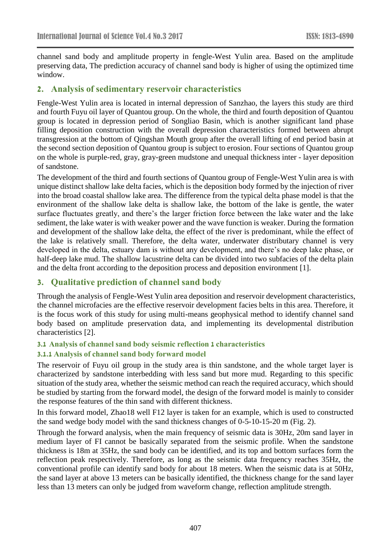channel sand body and amplitude property in fengle-West Yulin area. Based on the amplitude preserving data, The prediction accuracy of channel sand body is higher of using the optimized time window.

### **2. Analysis of sedimentary reservoir characteristics**

Fengle-West Yulin area is located in internal depression of Sanzhao, the layers this study are third and fourth Fuyu oil layer of Quantou group. On the whole, the third and fourth deposition of Quantou group is located in depression period of Songliao Basin, which is another significant land phase filling deposition construction with the overall depression characteristics formed between abrupt transgression at the bottom of Qingshan Mouth group after the overall lifting of end period basin at the second section deposition of Quantou group is subject to erosion. Four sections of Quantou group on the whole is purple-red, gray, gray-green mudstone and unequal thickness inter - layer deposition of sandstone.

The development of the third and fourth sections of Quantou group of Fengle-West Yulin area is with unique distinct shallow lake delta facies, which is the deposition body formed by the injection of river into the broad coastal shallow lake area. The difference from the typical delta phase model is that the environment of the shallow lake delta is shallow lake, the bottom of the lake is gentle, the water surface fluctuates greatly, and there's the larger friction force between the lake water and the lake sediment, the lake water is with weaker power and the wave function is weaker. During the formation and development of the shallow lake delta, the effect of the river is predominant, while the effect of the lake is relatively small. Therefore, the delta water, underwater distributary channel is very developed in the delta, estuary dam is without any development, and there's no deep lake phase, or half-deep lake mud. The shallow lacustrine delta can be divided into two subfacies of the delta plain and the delta front according to the deposition process and deposition environment [1].

## **3. Qualitative prediction of channel sand body**

Through the analysis of Fengle-West Yulin area deposition and reservoir development characteristics, the channel microfacies are the effective reservoir development facies belts in this area. Therefore, it is the focus work of this study for using multi-means geophysical method to identify channel sand body based on amplitude preservation data, and implementing its developmental distribution characteristics [2].

# **3.1 Analysis of channel sand body seismic reflection 1 characteristics**

## **3.1.1 Analysis of channel sand body forward model**

The reservoir of Fuyu oil group in the study area is thin sandstone, and the whole target layer is characterized by sandstone interbedding with less sand but more mud. Regarding to this specific situation of the study area, whether the seismic method can reach the required accuracy, which should be studied by starting from the forward model, the design of the forward model is mainly to consider the response features of the thin sand with different thickness.

In this forward model, Zhao18 well F12 layer is taken for an example, which is used to constructed the sand wedge body model with the sand thickness changes of 0-5-10-15-20 m (Fig. 2).

Through the forward analysis, when the main frequency of seismic data is 30Hz, 20m sand layer in medium layer of FI cannot be basically separated from the seismic profile. When the sandstone thickness is 18m at 35Hz, the sand body can be identified, and its top and bottom surfaces form the reflection peak respectively. Therefore, as long as the seismic data frequency reaches 35Hz, the conventional profile can identify sand body for about 18 meters. When the seismic data is at 50Hz, the sand layer at above 13 meters can be basically identified, the thickness change for the sand layer less than 13 meters can only be judged from waveform change, reflection amplitude strength.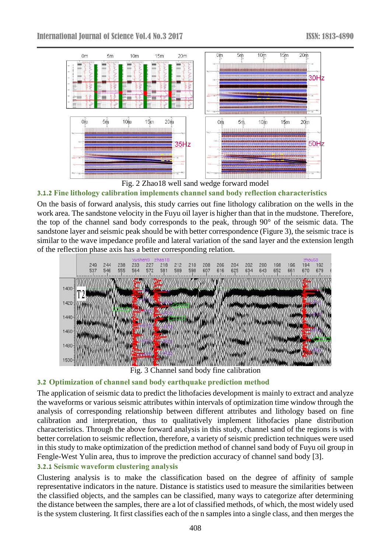

Fig. 2 Zhao18 well sand wedge forward model

# **3.1.2 Fine lithology calibration implements channel sand body reflection characteristics**

On the basis of forward analysis, this study carries out fine lithology calibration on the wells in the work area. The sandstone velocity in the Fuyu oil layer is higher than that in the mudstone. Therefore, the top of the channel sand body corresponds to the peak, through 90° of the seismic data. The sandstone layer and seismic peak should be with better correspondence (Figure 3), the seismic trace is similar to the wave impedance profile and lateral variation of the sand layer and the extension length of the reflection phase axis has a better corresponding relation.



Fig. 3 Channel sand body fine calibration

#### **3.2 Optimization of channel sand body earthquake prediction method**

The application of seismic data to predict the lithofacies development is mainly to extract and analyze the waveforms or various seismic attributes within intervals of optimization time window through the analysis of corresponding relationship between different attributes and lithology based on fine calibration and interpretation, thus to qualitatively implement lithofacies plane distribution characteristics. Through the above forward analysis in this study, channel sand of the regions is with better correlation to seismic reflection, therefore, a variety of seismic prediction techniques were used in this study to make optimization of the prediction method of channel sand body of Fuyu oil group in Fengle-West Yulin area, thus to improve the prediction accuracy of channel sand body [3].

## **3.2.1 Seismic waveform clustering analysis**

Clustering analysis is to make the classification based on the degree of affinity of sample representative indicators in the nature. Distance is statistics used to measure the similarities between the classified objects, and the samples can be classified, many ways to categorize after determining the distance between the samples, there are a lot of classified methods, of which, the most widely used is the system clustering. It first classifies each of the n samples into a single class, and then merges the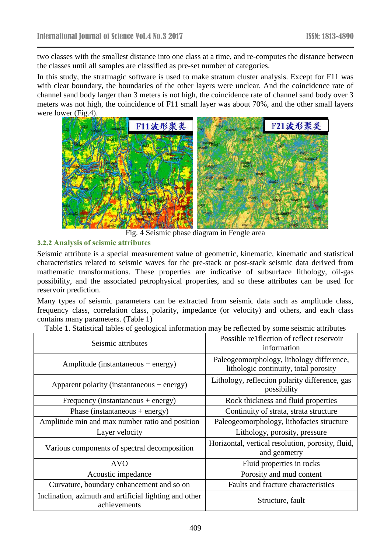two classes with the smallest distance into one class at a time, and re-computes the distance between the classes until all samples are classified as pre-set number of categories.

In this study, the stratmagic software is used to make stratum cluster analysis. Except for F11 was with clear boundary, the boundaries of the other layers were unclear. And the coincidence rate of channel sand body larger than 3 meters is not high, the coincidence rate of channel sand body over 3 meters was not high, the coincidence of F11 small layer was about 70%, and the other small layers were lower (Fig.4).



Fig. 4 Seismic phase diagram in Fengle area

#### **3.2.2 Analysis of seismic attributes**

Seismic attribute is a special measurement value of geometric, kinematic, kinematic and statistical characteristics related to seismic waves for the pre-stack or post-stack seismic data derived from mathematic transformations. These properties are indicative of subsurface lithology, oil-gas possibility, and the associated petrophysical properties, and so these attributes can be used for reservoir prediction.

Many types of seismic parameters can be extracted from seismic data such as amplitude class, frequency class, correlation class, polarity, impedance (or velocity) and others, and each class contains many parameters. (Table 1)

| Seismic attributes                                                     | Possible re1flection of reflect reservoir<br>information                           |
|------------------------------------------------------------------------|------------------------------------------------------------------------------------|
| Amplitude (instantaneous + energy)                                     | Paleogeomorphology, lithology difference,<br>lithologic continuity, total porosity |
| Apparent polarity (instantaneous + energy)                             | Lithology, reflection polarity difference, gas<br>possibility                      |
| Frequency (instantaneous $+$ energy)                                   | Rock thickness and fluid properties                                                |
| Phase (instantaneous + energy)                                         | Continuity of strata, strata structure                                             |
| Amplitude min and max number ratio and position                        | Paleogeomorphology, lithofacies structure                                          |
| Layer velocity                                                         | Lithology, porosity, pressure                                                      |
| Various components of spectral decomposition                           | Horizontal, vertical resolution, porosity, fluid,<br>and geometry                  |
| <b>AVO</b>                                                             | Fluid properties in rocks                                                          |
| Acoustic impedance                                                     | Porosity and mud content                                                           |
| Curvature, boundary enhancement and so on                              | Faults and fracture characteristics                                                |
| Inclination, azimuth and artificial lighting and other<br>achievements | Structure, fault                                                                   |

Table 1. Statistical tables of geological information may be reflected by some seismic attributes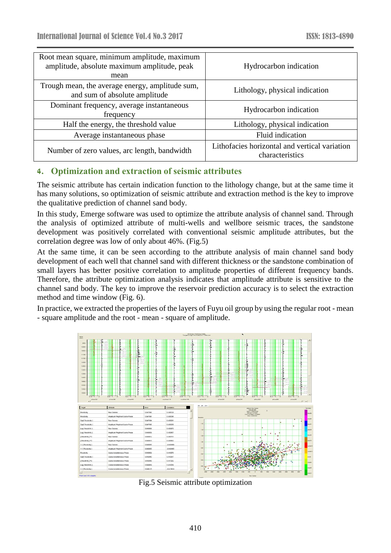| Root mean square, minimum amplitude, maximum<br>amplitude, absolute maximum amplitude, peak<br>mean | Hydrocarbon indication                                           |
|-----------------------------------------------------------------------------------------------------|------------------------------------------------------------------|
| Trough mean, the average energy, amplitude sum,<br>and sum of absolute amplitude                    | Lithology, physical indication                                   |
| Dominant frequency, average instantaneous<br>frequency                                              | Hydrocarbon indication                                           |
| Half the energy, the threshold value                                                                | Lithology, physical indication                                   |
| Average instantaneous phase                                                                         | Fluid indication                                                 |
| Number of zero values, arc length, bandwidth                                                        | Lithofacies horizontal and vertical variation<br>characteristics |

# **4. Optimization and extraction of seismic attributes**

The seismic attribute has certain indication function to the lithology change, but at the same time it has many solutions, so optimization of seismic attribute and extraction method is the key to improve the qualitative prediction of channel sand body.

In this study, Emerge software was used to optimize the attribute analysis of channel sand. Through the analysis of optimized attribute of multi-wells and wellbore seismic traces, the sandstone development was positively correlated with conventional seismic amplitude attributes, but the correlation degree was low of only about 46%. (Fig.5)

At the same time, it can be seen according to the attribute analysis of main channel sand body development of each well that channel sand with different thickness or the sandstone combination of small layers has better positive correlation to amplitude properties of different frequency bands. Therefore, the attribute optimization analysis indicates that amplitude attribute is sensitive to the channel sand body. The key to improve the reservoir prediction accuracy is to select the extraction method and time window (Fig. 6).

In practice, we extracted the properties of the layers of Fuyu oil group by using the regular root - mean - square amplitude and the root - mean - square of amplitude.



Fig.5 Seismic attribute optimization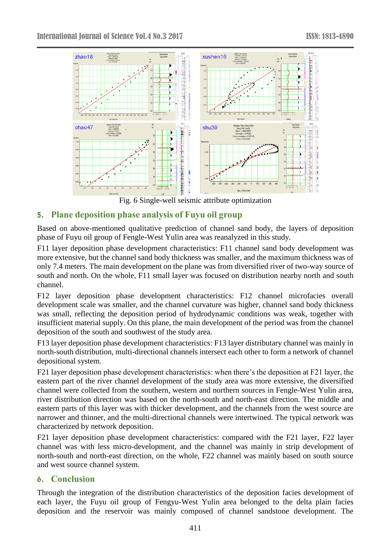

Fig. 6 Single-well seismic attribute optimization

# **5. Plane deposition phase analysis of Fuyu oil group**

Based on above-mentioned qualitative prediction of channel sand body, the layers of deposition phase of Fuyu oil group of Fengle-West Yulin area was reanalyzed in this study.

F11 layer deposition phase development characteristics: F11 channel sand body development was more extensive, but the channel sand body thickness was smaller, and the maximum thickness was of only 7.4 meters. The main development on the plane was from diversified river of two-way source of south and north. On the whole, F11 small layer was focused on distribution nearby north and south channel.

F12 layer deposition phase development characteristics: F12 channel microfacies overall development scale was smaller, and the channel curvature was higher, channel sand body thickness was small, reflecting the deposition period of hydrodynamic conditions was weak, together with insufficient material supply. On this plane, the main development of the period was from the channel deposition of the south and southwest of the study area.

F13 layer deposition phase development characteristics: F13 layer distributary channel was mainly in north-south distribution, multi-directional channels intersect each other to form a network of channel depositional system.

F21 layer deposition phase development characteristics: when there's the deposition at F21 layer, the eastern part of the river channel development of the study area was more extensive, the diversified channel were collected from the southern, western and northern sources in Fengle-West Yulin area, river distribution direction was based on the north-south and north-east direction. The middle and eastern parts of this layer was with thicker development, and the channels from the west source are narrower and thinner, and the multi-directional channels were intertwined. The typical network was characterized by network deposition.

F21 layer deposition phase development characteristics: compared with the F21 layer, F22 layer channel was with less micro-development, and the channel was mainly in strip development of north-south and north-east direction, on the whole, F22 channel was mainly based on south source and west source channel system.

# **6. Conclusion**

Through the integration of the distribution characteristics of the deposition facies development of each layer, the Fuyu oil group of Fengyu-West Yulin area belonged to the delta plain facies deposition and the reservoir was mainly composed of channel sandstone development. The